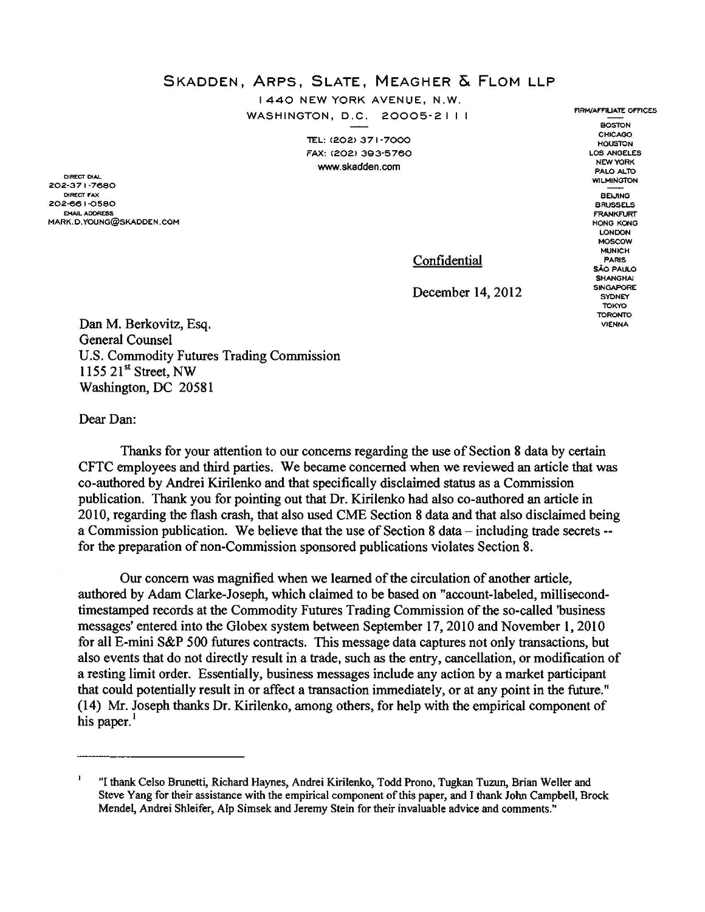SKADDEN, ARPS, SLATE, MEAGHER & FLOM LLP

I 440 NEW YORK AVENUE, N.W. WASHINGTON, D.C. 20005-2 I I I

> TEL: (202) 371-7000 FAX: C202> 3Q3-5750 www.skadden.com

DIRECT DIAL 202-371-7680 DIRECT FAX 202-66 I -¢5BO EMAIL ADDRESS MARK.D.YOUNG@SKADDEN.COM

**WILMINGTON** BEI.JING BRUSSELS FRANKFURT HONG KONG LONDON MOSCOW MUNICH PARIS sAO PAULO **SHANGHAI SINGAPORE SYDNEY TOKYO** 

> **TORONIO** VIENNA

FIRM/AFFILIATE OFFICES BOSTON **CHICAGO HOUSTON** LOS ANGELES NEW YORK PALO ALTO

Confidential

December 14, 2012

Dan M. Berkovitz, Esq. General Counsel U.S. Commodity Futures Trading Commission 1155 21<sup>st</sup> Street, NW Washington, DC 20581

Dear Dan:

Thanks for your attention to our concerns regarding the use of Section 8 data by certain CFTC employees and third parties. We became concerned when we reviewed an article that was co-authored by Andrei Kirilenko and that specifically disclaimed status as a Commission publication. Thank you for pointing out that Dr. Kirilenko had also co-authored an article in 2010, regarding the flash crash, that also used CME Section 8 data and that also disclaimed being a Commission publication. We believe that the use of Section 8 data- including trade secrets- for the preparation of non-Commission sponsored publications violates Section 8.

Our concern was magnified when we learned of the circulation of another article, authored by Adam Clarke-Joseph, which claimed to be based on "account-labeled, millisecondtimestamped records at the Commodity Futures Trading Commission of the so-called 'business messages' entered into the Globex system between September 17,2010 and November 1, 2010 for all E-mini S&P 500 futures contracts. This message data captures not only transactions, but also events that do not directly result in a trade, such as the entry, cancellation, or modification of a resting limit order. Essentially, business messages include any action by a market participant that could potentially result in or affect a transaction immediately, or at any point in the future." (14) Mr. Joseph thanks Dr. Kirilenko, among others, for help with the empirical component of his paper.<sup>1</sup>

r "I thank Celso Brunetti, Richard Haynes, Andrei Kirilenko, Todd Prono, Tugk:an Tuzun, Brian Weller and Steve Yang for their assistance with the empirical component of this paper, and I thank John Campbell, Brock Mendel, Andrei Shleifer, Alp Simsek and Jeremy Stein for their invaluable advice and comments."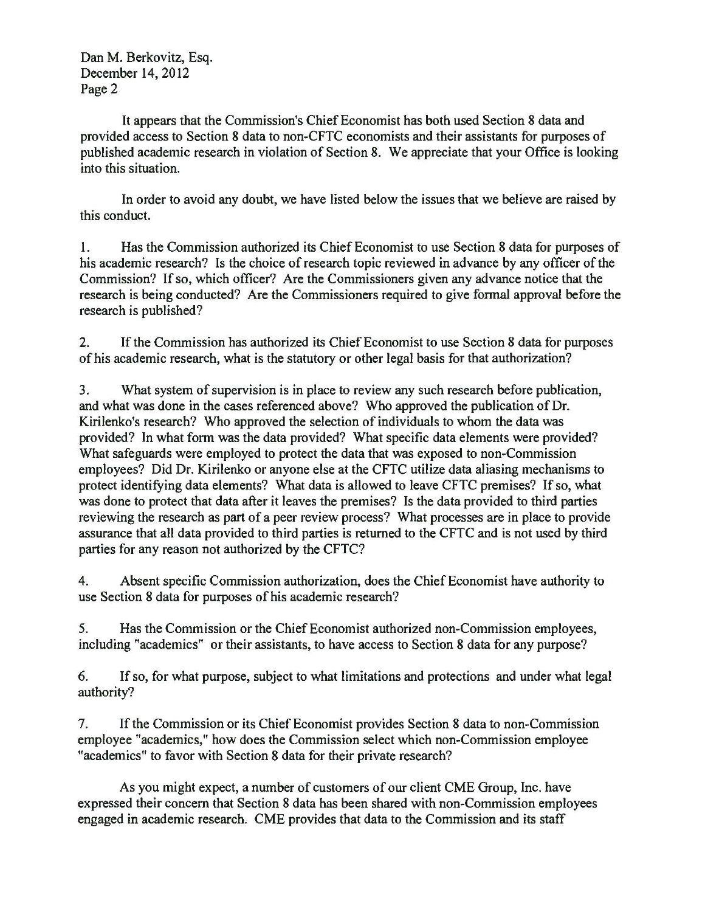Dan M. Berkovitz, Esq. December 14, 2012 Page 2

It appears that the Commission's Chief Economist has both used Section 8 data and provided access to Section 8 data to non-CFTC economists and their assistants for purposes of published academic research in violation of Section 8. We appreciate that your Office is looking into this situation.

In order to avoid any doubt, we have listed below the issues that we believe are raised by this conduct.

1. Has the Commission authorized its Chief Economist to use Section 8 data for purposes of his academic research? Is the choice of research topic reviewed in advance by any officer of the Commission? If so, which officer? Are the Commissioners given any advance notice that the research is being conducted? Are the Commissioners required to give formal approval before the research is published?

2. If the Commission has authorized its Chief Economist to use Section 8 data for purposes of his academic research, what is the statutory or other legal basis for that authorization?

3. What system of supervision is in place to review any such research before publication, and what was done in the cases referenced above? Who approved the publication of Dr. Kirilenko's research? Who approved the selection of individuals to whom the data was provided? In what form was the data provided? What specific data elements were provided? What safeguards were employed to protect the data that was exposed to non-Commission employees? Did Dr. Kirilenko or anyone else at the CFTC utilize data aliasing mechanisms to protect identifying data elements? What data is allowed to leave CFTC premises? If so, what was done to protect that data after it leaves the premises? Is the data provided to third parties reviewing the research as part of a peer review process? What processes are in place to provide assurance that all data provided to third parties is returned to the CFTC and is not used by third parties for any reason not authorized by the CFTC?

4. Absent specific Commission authorization, does the Chief Economist have authority to use Section 8 data for purposes of his academic research?

5. Has the Commission or the Chief Economist authorized non-Commission employees, including "academics" or their assistants, to have access to Section 8 data for any purpose?

6. If so, for what purpose, subject to what limitations and protections and under what legal authority?

7. If the Commission or its Chief Economist provides Section 8 data to non-Commission employee "academics," how does the Commission select which non-Commission employee "academics" to favor with Section 8 data for their private research?

As you might expect, a number of customers of our client CME Group, Inc. have expressed their concern that Section 8 data has been shared with non-Commission employees engaged in academic research. CME provides that data to the Commission and its staff